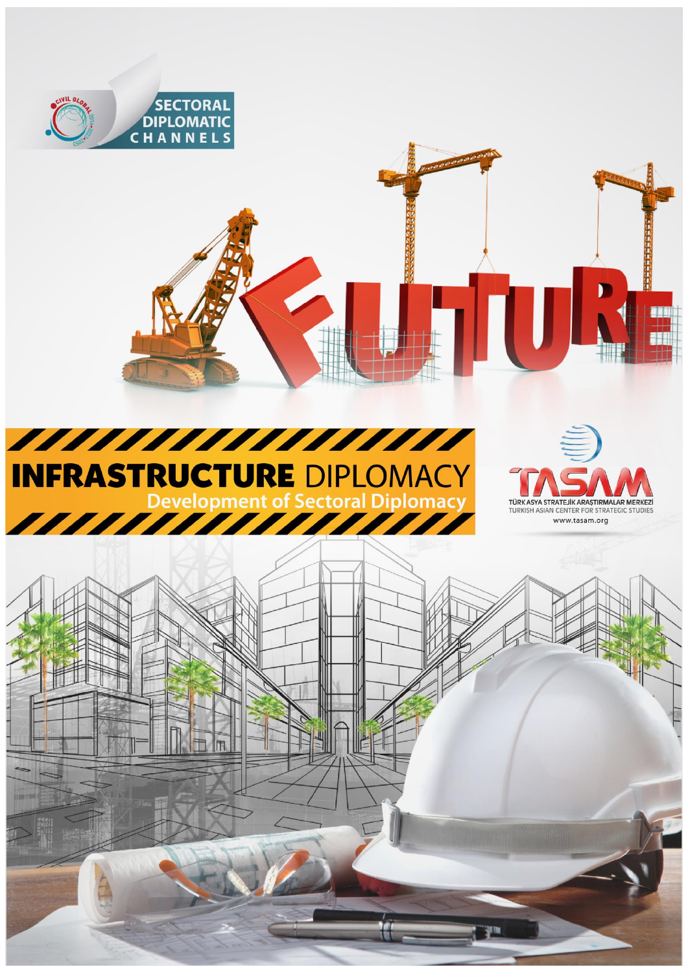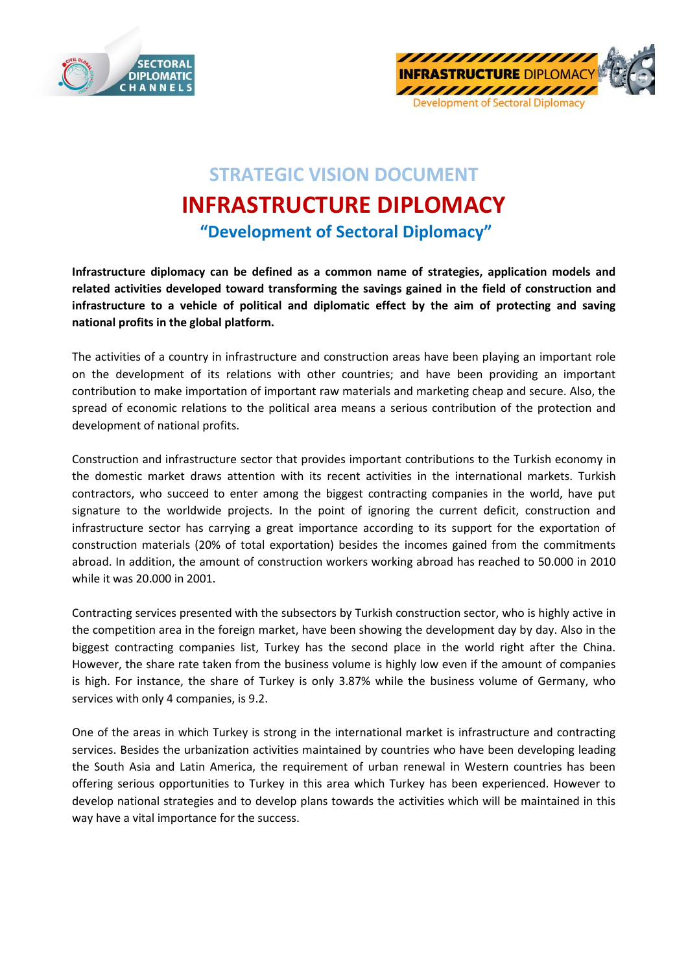



## **STRATEGIC VISION DOCUMENT INFRASTRUCTURE DIPLOMACY "Development of Sectoral Diplomacy"**

**Infrastructure diplomacy can be defined as a common name of strategies, application models and related activities developed toward transforming the savings gained in the field of construction and infrastructure to a vehicle of political and diplomatic effect by the aim of protecting and saving national profits in the global platform.**

The activities of a country in infrastructure and construction areas have been playing an important role on the development of its relations with other countries; and have been providing an important contribution to make importation of important raw materials and marketing cheap and secure. Also, the spread of economic relations to the political area means a serious contribution of the protection and development of national profits.

Construction and infrastructure sector that provides important contributions to the Turkish economy in the domestic market draws attention with its recent activities in the international markets. Turkish contractors, who succeed to enter among the biggest contracting companies in the world, have put signature to the worldwide projects. In the point of ignoring the current deficit, construction and infrastructure sector has carrying a great importance according to its support for the exportation of construction materials (20% of total exportation) besides the incomes gained from the commitments abroad. In addition, the amount of construction workers working abroad has reached to 50.000 in 2010 while it was 20.000 in 2001.

Contracting services presented with the subsectors by Turkish construction sector, who is highly active in the competition area in the foreign market, have been showing the development day by day. Also in the biggest contracting companies list, Turkey has the second place in the world right after the China. However, the share rate taken from the business volume is highly low even if the amount of companies is high. For instance, the share of Turkey is only 3.87% while the business volume of Germany, who services with only 4 companies, is 9.2.

One of the areas in which Turkey is strong in the international market is infrastructure and contracting services. Besides the urbanization activities maintained by countries who have been developing leading the South Asia and Latin America, the requirement of urban renewal in Western countries has been offering serious opportunities to Turkey in this area which Turkey has been experienced. However to develop national strategies and to develop plans towards the activities which will be maintained in this way have a vital importance for the success.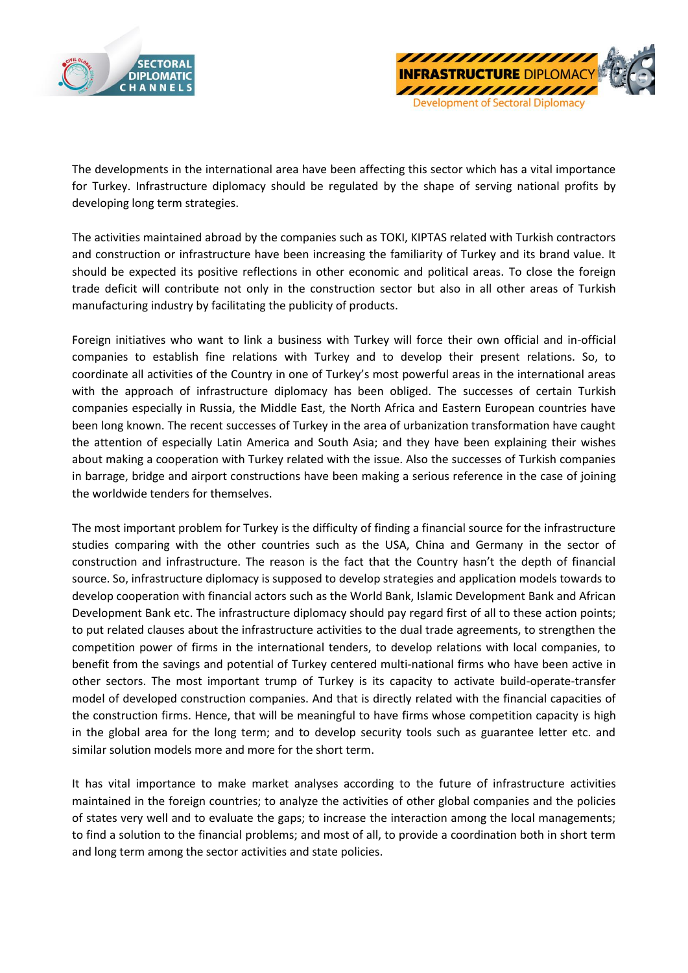



The developments in the international area have been affecting this sector which has a vital importance for Turkey. Infrastructure diplomacy should be regulated by the shape of serving national profits by developing long term strategies.

The activities maintained abroad by the companies such as TOKI, KIPTAS related with Turkish contractors and construction or infrastructure have been increasing the familiarity of Turkey and its brand value. It should be expected its positive reflections in other economic and political areas. To close the foreign trade deficit will contribute not only in the construction sector but also in all other areas of Turkish manufacturing industry by facilitating the publicity of products.

Foreign initiatives who want to link a business with Turkey will force their own official and in-official companies to establish fine relations with Turkey and to develop their present relations. So, to coordinate all activities of the Country in one of Turkey's most powerful areas in the international areas with the approach of infrastructure diplomacy has been obliged. The successes of certain Turkish companies especially in Russia, the Middle East, the North Africa and Eastern European countries have been long known. The recent successes of Turkey in the area of urbanization transformation have caught the attention of especially Latin America and South Asia; and they have been explaining their wishes about making a cooperation with Turkey related with the issue. Also the successes of Turkish companies in barrage, bridge and airport constructions have been making a serious reference in the case of joining the worldwide tenders for themselves.

The most important problem for Turkey is the difficulty of finding a financial source for the infrastructure studies comparing with the other countries such as the USA, China and Germany in the sector of construction and infrastructure. The reason is the fact that the Country hasn't the depth of financial source. So, infrastructure diplomacy is supposed to develop strategies and application models towards to develop cooperation with financial actors such as the World Bank, Islamic Development Bank and African Development Bank etc. The infrastructure diplomacy should pay regard first of all to these action points; to put related clauses about the infrastructure activities to the dual trade agreements, to strengthen the competition power of firms in the international tenders, to develop relations with local companies, to benefit from the savings and potential of Turkey centered multi-national firms who have been active in other sectors. The most important trump of Turkey is its capacity to activate build-operate-transfer model of developed construction companies. And that is directly related with the financial capacities of the construction firms. Hence, that will be meaningful to have firms whose competition capacity is high in the global area for the long term; and to develop security tools such as guarantee letter etc. and similar solution models more and more for the short term.

It has vital importance to make market analyses according to the future of infrastructure activities maintained in the foreign countries; to analyze the activities of other global companies and the policies of states very well and to evaluate the gaps; to increase the interaction among the local managements; to find a solution to the financial problems; and most of all, to provide a coordination both in short term and long term among the sector activities and state policies.